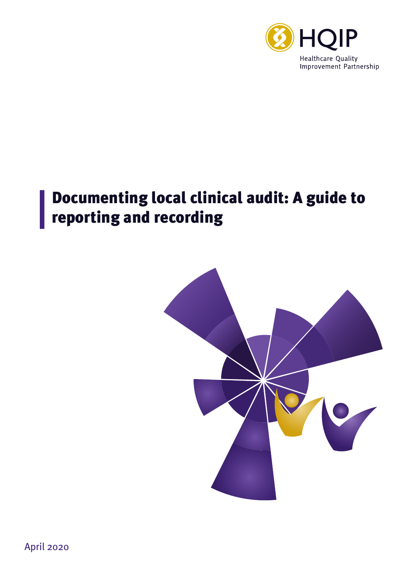

## Documenting local clinical audit: A guide to reporting and recording



April 2020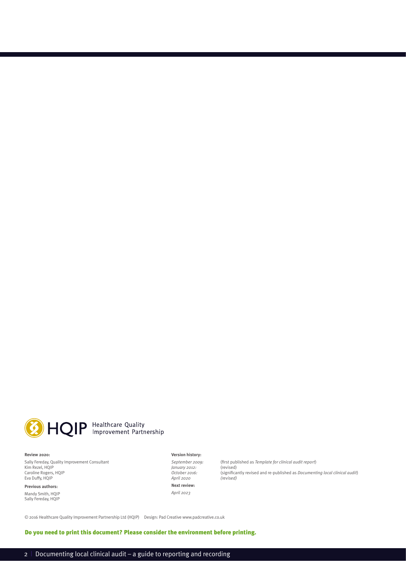

## HQIP Healthcare Quality

#### **Review 2020:**

Sally Fereday, Quality Improvement Consultant Kim Rezel, HQIP Caroline Rogers, HQIP Eva Duffy, HQIP

**Previous authors:** Mandy Smith, HQIP Sally Fereday, HQIP

#### **Version history:**

*January 2012:*<br>October 2016: *April 2020 (revised)* **Next review:** *April 2023* 

*September 2009:* (first published as *Template for clinical audit report*) *October 2016:* (significantly revised and re-published as *Documenting local clinical audit*)

© 2016 Healthcare Quality Improvement Partnership Ltd (HQIP) Design: Pad Creative www.padcreative.co.uk

Do you need to print this document? Please consider the environment before printing.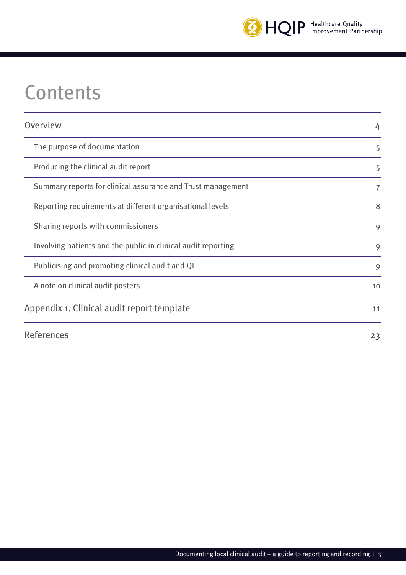

# **Contents**

| Overview                                                      | 4  |
|---------------------------------------------------------------|----|
| The purpose of documentation                                  | 5  |
| Producing the clinical audit report                           | 5  |
| Summary reports for clinical assurance and Trust management   | 7  |
| Reporting requirements at different organisational levels     | 8  |
| Sharing reports with commissioners                            | 9  |
| Involving patients and the public in clinical audit reporting | 9  |
| Publicising and promoting clinical audit and QI               | 9  |
| A note on clinical audit posters                              | 10 |
| Appendix 1. Clinical audit report template                    | 11 |
| <b>References</b>                                             | 23 |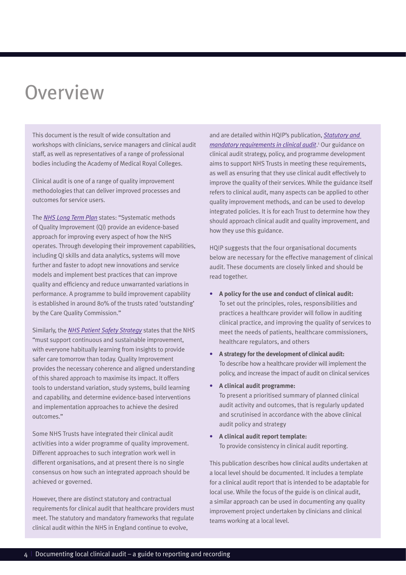# **Overview**

This document is the result of wide consultation and workshops with clinicians, service managers and clinical audit staff, as well as representatives of a range of professional bodies including the Academy of Medical Royal Colleges.

Clinical audit is one of a range of quality improvement methodologies that can deliver improved processes and outcomes for service users.

The *[NHS Long Term Plan](https://www.england.nhs.uk/long-term-plan/)* states: "Systematic methods of Quality Improvement (QI) provide an evidence-based approach for improving every aspect of how the NHS operates. Through developing their improvement capabilities, including QI skills and data analytics, systems will move further and faster to adopt new innovations and service models and implement best practices that can improve quality and efficiency and reduce unwarranted variations in performance. A programme to build improvement capability is established in around 80% of the trusts rated 'outstanding' by the Care Quality Commission."

Similarly, the *[NHS Patient Safety Strategy](https://improvement.nhs.uk/resources/patient-safety-strategy/)* states that the NHS "must support continuous and sustainable improvement, with everyone habitually learning from insights to provide safer care tomorrow than today. Quality Improvement provides the necessary coherence and aligned understanding of this shared approach to maximise its impact. It offers tools to understand variation, study systems, build learning and capability, and determine evidence-based interventions and implementation approaches to achieve the desired outcomes."

Some NHS Trusts have integrated their clinical audit activities into a wider programme of quality improvement. Different approaches to such integration work well in different organisations, and at present there is no single consensus on how such an integrated approach should be achieved or governed.

However, there are distinct statutory and contractual requirements for clinical audit that healthcare providers must meet. The statutory and mandatory frameworks that regulate clinical audit within the NHS in England continue to evolve,

and are detailed within HQIP's publication, *[Statutory and](https://www.hqip.org.uk/resource/hqip-statutory-and-mandatory-requirements-in-clinical-audit-guidance/#.XphEQVNKi8g)  [mandatory requirements in clinical audit](https://www.hqip.org.uk/resource/hqip-statutory-and-mandatory-requirements-in-clinical-audit-guidance/#.XphEQVNKi8g)*.<sup>1</sup> Our guidance on clinical audit strategy, policy, and programme development aims to support NHS Trusts in meeting these requirements, as well as ensuring that they use clinical audit effectively to improve the quality of their services. While the guidance itself refers to clinical audit, many aspects can be applied to other quality improvement methods, and can be used to develop integrated policies. It is for each Trust to determine how they should approach clinical audit and quality improvement, and how they use this guidance.

HQIP suggests that the four organisational documents below are necessary for the effective management of clinical audit. These documents are closely linked and should be read together.

- **• A policy for the use and conduct of clinical audit:** To set out the principles, roles, responsibilities and practices a healthcare provider will follow in auditing clinical practice, and improving the quality of services to meet the needs of patients, healthcare commissioners, healthcare regulators, and others
- **• A strategy for the development of clinical audit:** To describe how a healthcare provider will implement the policy, and increase the impact of audit on clinical services
- **• A clinical audit programme:**

To present a prioritised summary of planned clinical audit activity and outcomes, that is regularly updated and scrutinised in accordance with the above clinical audit policy and strategy

**• A clinical audit report template:** To provide consistency in clinical audit reporting.

This publication describes how clinical audits undertaken at a local level should be documented. It includes a template for a clinical audit report that is intended to be adaptable for local use. While the focus of the guide is on clinical audit, a similar approach can be used in documenting any quality improvement project undertaken by clinicians and clinical teams working at a local level.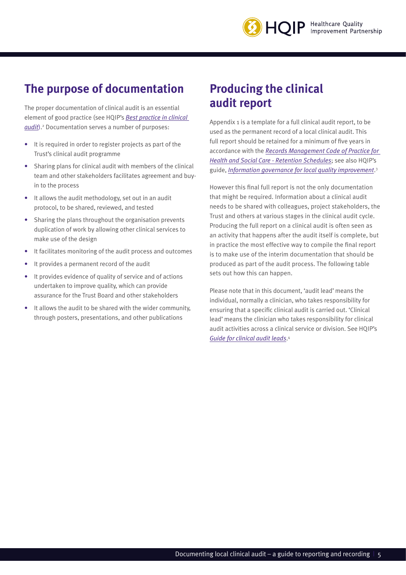### **The purpose of documentation**

The proper documentation of clinical audit is an essential element of good practice (see HQIP's *[Best practice in clinical](https://www.hqip.org.uk/resource/best-practice-in-clinical-audit/#.XphFe1NKi8h)  [audit](https://www.hqip.org.uk/resource/best-practice-in-clinical-audit/#.XphFe1NKi8h)*). 2 Documentation serves a number of purposes:

- It is required in order to register projects as part of the Trust's clinical audit programme
- Sharing plans for clinical audit with members of the clinical team and other stakeholders facilitates agreement and buyin to the process
- It allows the audit methodology, set out in an audit protocol, to be shared, reviewed, and tested
- Sharing the plans throughout the organisation prevents duplication of work by allowing other clinical services to make use of the design
- It facilitates monitoring of the audit process and outcomes
- It provides a permanent record of the audit
- It provides evidence of quality of service and of actions undertaken to improve quality, which can provide assurance for the Trust Board and other stakeholders
- It allows the audit to be shared with the wider community, through posters, presentations, and other publications

#### **Producing the clinical audit report**

Appendix 1 is a template for a full clinical audit report, to be used as the permanent record of a local clinical audit. This full report should be retained for a minimum of five years in accordance with the *[Records Management Code of Practice for](https://digital.nhs.uk/data-and-information/looking-after-information/data-security-and-information-governance/codes-of-practice-for-handling-information-in-health-and-care/records-management-code-of-practice-for-health-and-social-care-2016)  [Health and Social Care - Retention Schedules](https://digital.nhs.uk/data-and-information/looking-after-information/data-security-and-information-governance/codes-of-practice-for-handling-information-in-health-and-care/records-management-code-of-practice-for-health-and-social-care-2016)*; see also HQIP's guide, *[Information governance for local quality improvement](https://www.hqip.org.uk/resource/information-governance-in-local-quality-improvement/#.XphF7VNKi8g)*. 3

However this final full report is not the only documentation that might be required. Information about a clinical audit needs to be shared with colleagues, project stakeholders, the Trust and others at various stages in the clinical audit cycle. Producing the full report on a clinical audit is often seen as an activity that happens after the audit itself is complete, but in practice the most effective way to compile the final report is to make use of the interim documentation that should be produced as part of the audit process. The following table sets out how this can happen.

Please note that in this document, 'audit lead' means the individual, normally a clinician, who takes responsibility for ensuring that a specific clinical audit is carried out. 'Clinical lead' means the clinician who takes responsibility for clinical audit activities across a clinical service or division. See HQIP's *[Guide for clinical audit leads](https://www.hqip.org.uk/resource/guide-for-clinical-audit-leads/#.XphGH1NKi8h)*. 4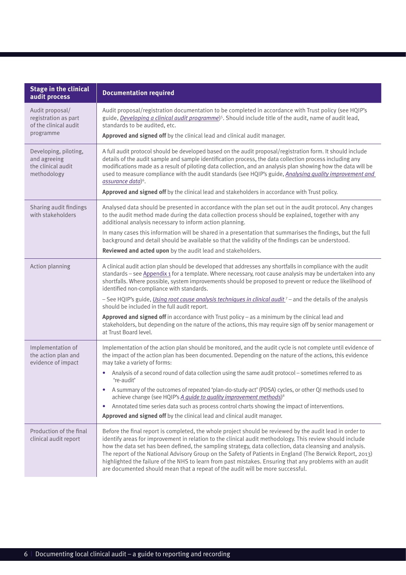| <b>Stage in the clinical</b><br>audit process                                 | <b>Documentation required</b>                                                                                                                                                                                                                                                                                                                                                                                                                                                                                                                                                                                                                                                                                                                                                                           |
|-------------------------------------------------------------------------------|---------------------------------------------------------------------------------------------------------------------------------------------------------------------------------------------------------------------------------------------------------------------------------------------------------------------------------------------------------------------------------------------------------------------------------------------------------------------------------------------------------------------------------------------------------------------------------------------------------------------------------------------------------------------------------------------------------------------------------------------------------------------------------------------------------|
| Audit proposal/<br>registration as part<br>of the clinical audit<br>programme | Audit proposal/registration documentation to be completed in accordance with Trust policy (see HQIP's<br>guide, Developing a clinical audit programme) <sup>5</sup> . Should include title of the audit, name of audit lead,<br>standards to be audited, etc.<br>Approved and signed off by the clinical lead and clinical audit manager.                                                                                                                                                                                                                                                                                                                                                                                                                                                               |
| Developing, piloting,<br>and agreeing<br>the clinical audit<br>methodology    | A full audit protocol should be developed based on the audit proposal/registration form. It should include<br>details of the audit sample and sample identification process, the data collection process including any<br>modifications made as a result of piloting data collection, and an analysis plan showing how the data will be<br>used to measure compliance with the audit standards (see HQIP's guide, Analysing quality improvement and<br>assurance data) <sup>6</sup> .<br>Approved and signed off by the clinical lead and stakeholders in accordance with Trust policy.                                                                                                                                                                                                                 |
| Sharing audit findings<br>with stakeholders                                   | Analysed data should be presented in accordance with the plan set out in the audit protocol. Any changes<br>to the audit method made during the data collection process should be explained, together with any<br>additional analysis necessary to inform action planning.<br>In many cases this information will be shared in a presentation that summarises the findings, but the full<br>background and detail should be available so that the validity of the findings can be understood.<br>Reviewed and acted upon by the audit lead and stakeholders.                                                                                                                                                                                                                                            |
| Action planning                                                               | A clinical audit action plan should be developed that addresses any shortfalls in compliance with the audit<br>standards - see Appendix 1 for a template. Where necessary, root cause analysis may be undertaken into any<br>shortfalls. Where possible, system improvements should be proposed to prevent or reduce the likelihood of<br>identified non-compliance with standards.<br>- See HQIP's guide, <i>Using root cause analysis techniques in clinical audit</i> 7 - and the details of the analysis<br>should be included in the full audit report.<br>Approved and signed off in accordance with Trust policy - as a minimum by the clinical lead and<br>stakeholders, but depending on the nature of the actions, this may require sign off by senior management or<br>at Trust Board level. |
| Implementation of<br>the action plan and<br>evidence of impact                | Implementation of the action plan should be monitored, and the audit cycle is not complete until evidence of<br>the impact of the action plan has been documented. Depending on the nature of the actions, this evidence<br>may take a variety of forms:<br>Analysis of a second round of data collection using the same audit protocol - sometimes referred to as<br>'re-audit'<br>A summary of the outcomes of repeated 'plan-do-study-act' (PDSA) cycles, or other QI methods used to<br>achieve change (see HQIP's A guide to quality improvement methods) <sup>8</sup><br>Annotated time series data such as process control charts showing the impact of interventions.<br>$\bullet$<br>Approved and signed off by the clinical lead and clinical audit manager.                                  |
| Production of the final<br>clinical audit report                              | Before the final report is completed, the whole project should be reviewed by the audit lead in order to<br>identify areas for improvement in relation to the clinical audit methodology. This review should include<br>how the data set has been defined, the sampling strategy, data collection, data cleansing and analysis.<br>The report of the National Advisory Group on the Safety of Patients in England (The Berwick Report, 2013)<br>highlighted the failure of the NHS to learn from past mistakes. Ensuring that any problems with an audit<br>are documented should mean that a repeat of the audit will be more successful.                                                                                                                                                              |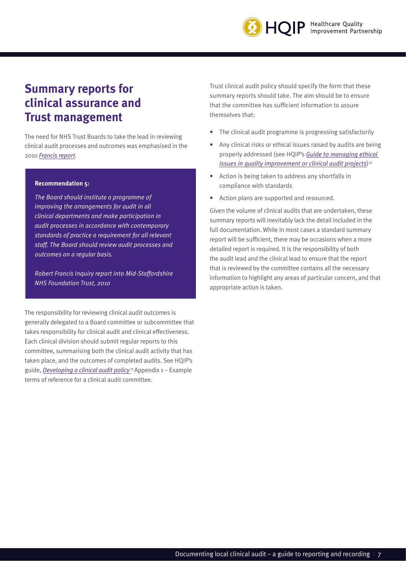

#### **Summary reports for clinical assurance and Trust management**

The need for NHS Trust Boards to take the lead in reviewing clinical audit processes and outcomes was emphasised in the 2010 *[Francis report](https://webarchive.nationalarchives.gov.uk/20130104234315/http://www.dh.gov.uk/en/Publicationsandstatistics/Publications/PublicationsPolicyAndGuidance/DH_113018)*.

#### **Recommendation 5:**

*The Board should institute a programme of improving the arrangements for audit in all clinical departments and make participation in audit processes in accordance with contemporary standards of practice a requirement for all relevant staff. The Board should review audit processes and outcomes on a regular basis.*

*Robert Francis Inquiry report into Mid-Staffordshire NHS Foundation Trust, 2010* 

The responsibility for reviewing clinical audit outcomes is generally delegated to a Board committee or subcommittee that takes responsibility for clinical audit and clinical effectiveness. Each clinical division should submit regular reports to this committee, summarising both the clinical audit activity that has taken place, and the outcomes of completed audits. See HQIP's guide, *[Developing a clinical audit policy](http://The responsibility for reviewing clinical audit outcomes is generally delegated to a Board committee or subcommittee that takes responsibility for clinical audit and clinical effectiveness. Each clinical division should submit regular reports to this committee, summarising both the clinical audit activity that has taken place, and the outcomes of completed audits. See HQIP’s guide, Developing a Clinical Audit Policy9 Appendix 1 – Example terms of reference for a clinical audit committee.)* <sup>9</sup> Appendix 1 – Example terms of reference for a clinical audit committee.

Trust clinical audit policy should specify the form that these summary reports should take. The aim should be to ensure that the committee has sufficient information to assure themselves that:

- The clinical audit programme is progressing satisfactorily
- Any clinical risks or ethical issues raised by audits are being properly addressed (see HQIP's *[Guide to managing ethical](https://www.hqip.org.uk/resource/guide-to-managing-ethical-issues-in-quality-improvement-or-clinical-audit-projects/#.XphIMlNKi8h)  [issues in quality improvement or clinical audit projects](https://www.hqip.org.uk/resource/guide-to-managing-ethical-issues-in-quality-improvement-or-clinical-audit-projects/#.XphIMlNKi8h)*)<sup>10</sup>
- Action is being taken to address any shortfalls in compliance with standards
- Action plans are supported and resourced.

Given the volume of clinical audits that are undertaken, these summary reports will inevitably lack the detail included in the full documentation. While in most cases a standard summary report will be sufficient, there may be occasions when a more detailed report is required. It is the responsibility of both the audit lead and the clinical lead to ensure that the report that is reviewed by the committee contains all the necessary information to highlight any areas of particular concern, and that appropriate action is taken.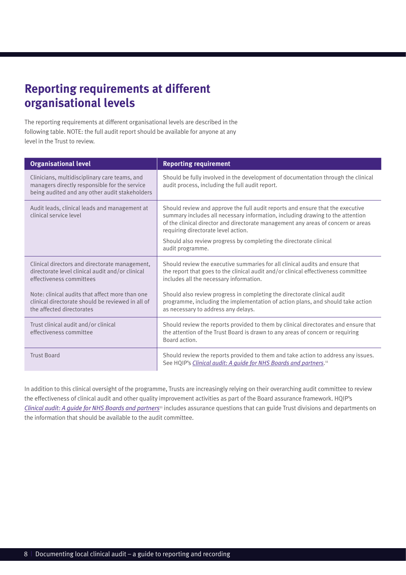### **Reporting requirements at different organisational levels**

The reporting requirements at different organisational levels are described in the following table. NOTE: the full audit report should be available for anyone at any level in the Trust to review.

| <b>Organisational level</b>                                                                                                                      | <b>Reporting requirement</b>                                                                                                                                                                                                                                                                                                                                                           |
|--------------------------------------------------------------------------------------------------------------------------------------------------|----------------------------------------------------------------------------------------------------------------------------------------------------------------------------------------------------------------------------------------------------------------------------------------------------------------------------------------------------------------------------------------|
| Clinicians, multidisciplinary care teams, and<br>managers directly responsible for the service<br>being audited and any other audit stakeholders | Should be fully involved in the development of documentation through the clinical<br>audit process, including the full audit report.                                                                                                                                                                                                                                                   |
| Audit leads, clinical leads and management at<br>clinical service level                                                                          | Should review and approve the full audit reports and ensure that the executive<br>summary includes all necessary information, including drawing to the attention<br>of the clinical director and directorate management any areas of concern or areas<br>requiring directorate level action.<br>Should also review progress by completing the directorate clinical<br>audit programme. |
| Clinical directors and directorate management,<br>directorate level clinical audit and/or clinical<br>effectiveness committees                   | Should review the executive summaries for all clinical audits and ensure that<br>the report that goes to the clinical audit and/or clinical effectiveness committee<br>includes all the necessary information.                                                                                                                                                                         |
| Note: clinical audits that affect more than one<br>clinical directorate should be reviewed in all of<br>the affected directorates                | Should also review progress in completing the directorate clinical audit<br>programme, including the implementation of action plans, and should take action<br>as necessary to address any delays.                                                                                                                                                                                     |
| Trust clinical audit and/or clinical<br>effectiveness committee                                                                                  | Should review the reports provided to them by clinical directorates and ensure that<br>the attention of the Trust Board is drawn to any areas of concern or requiring<br>Board action.                                                                                                                                                                                                 |
| <b>Trust Board</b>                                                                                                                               | Should review the reports provided to them and take action to address any issues.<br>See HQIP's Clinical audit: A guide for NHS Boards and partners. <sup>11</sup>                                                                                                                                                                                                                     |

In addition to this clinical oversight of the programme, Trusts are increasingly relying on their overarching audit committee to review the effectiveness of clinical audit and other quality improvement activities as part of the Board assurance framework. HQIP's *[Clinical audit: A guide for NHS Boards and partners](https://www.hqip.org.uk/resource/clinical-audit-a-guide-for-nhs-boards-and-partners/#.XphI2FNKi8g)*11 includes assurance questions that can guide Trust divisions and departments on the information that should be available to the audit committee.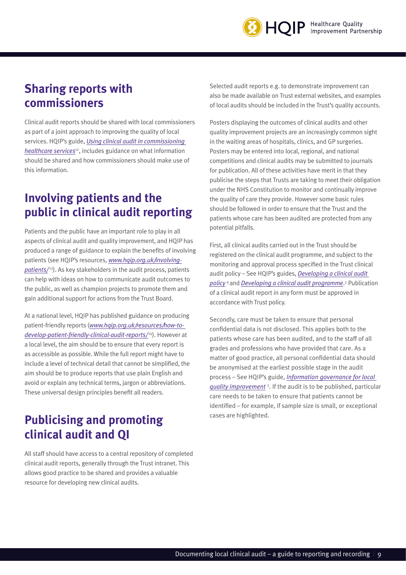

#### **Sharing reports with commissioners**

Clinical audit reports should be shared with local commissioners as part of a joint approach to improving the quality of local services. HQIP's guide, *[Using clinical audit in commissioning](https://www.hqip.org.uk/resource/using-clinical-audit-in-commissioning/#.XphJr1NKi8h)  [healthcare services](https://www.hqip.org.uk/resource/using-clinical-audit-in-commissioning/#.XphJr1NKi8h)*12, includes guidance on what information should be shared and how commissioners should make use of this information.

### **Involving patients and the public in clinical audit reporting**

Patients and the public have an important role to play in all aspects of clinical audit and quality improvement, and HQIP has produced a range of guidance to explain the benefits of involving patients (see HQIP's resources, *[www.hqip.org.uk/involving](https://www.hqip.org.uk/involving-patients/#.XosLuVNKgW8)*[patients/](https://www.hqip.org.uk/involving-patients/#.XosLuVNKgW8)<sup>13</sup>). As key stakeholders in the audit process, patients can help with ideas on how to communicate audit outcomes to the public, as well as champion projects to promote them and gain additional support for actions from the Trust Board.

At a national level, HQIP has published guidance on producing patient-friendly reports (*[www.hqip.org.uk/resources/how-to](https://www.hqip.org.uk/resource/how-to-develop-patient-friendly-clinical-audit-reports/#.XphKOFNKi8g)[develop-patient-friendly-clinical-audit-reports/](https://www.hqip.org.uk/resource/how-to-develop-patient-friendly-clinical-audit-reports/#.XphKOFNKi8g)* 14). However at a local level, the aim should be to ensure that every report is as accessible as possible. While the full report might have to include a level of technical detail that cannot be simplified, the aim should be to produce reports that use plain English and avoid or explain any technical terms, jargon or abbreviations. These universal design principles benefit all readers.

#### **Publicising and promoting clinical audit and QI**

All staff should have access to a central repository of completed clinical audit reports, generally through the Trust intranet. This allows good practice to be shared and provides a valuable resource for developing new clinical audits.

Selected audit reports e.g. to demonstrate improvement can also be made available on Trust external websites, and examples of local audits should be included in the Trust's quality accounts.

Posters displaying the outcomes of clinical audits and other quality improvement projects are an increasingly common sight in the waiting areas of hospitals, clinics, and GP surgeries. Posters may be entered into local, regional, and national competitions and clinical audits may be submitted to journals for publication. All of these activities have merit in that they publicise the steps that Trusts are taking to meet their obligation under the NHS Constitution to monitor and continually improve the quality of care they provide. However some basic rules should be followed in order to ensure that the Trust and the patients whose care has been audited are protected from any potential pitfalls.

First, all clinical audits carried out in the Trust should be registered on the clinical audit programme, and subject to the monitoring and approval process specified in the Trust clinical audit policy – See HQIP's guides, *[Developing a clinical audit](https://www.hqip.org.uk/resource/developing-clinical-audit-policy-strategy/#.XphKylNKi8g)  [policy](https://www.hqip.org.uk/resource/developing-clinical-audit-policy-strategy/#.XphKylNKi8g)* 9 and *[Developing a clinical audit programme](https://www.hqip.org.uk/resource/developing-a-clinical-audit-programme/#.XphKh1NKi8h)*. 5 Publication of a clinical audit report in any form must be approved in accordance with Trust policy.

Secondly, care must be taken to ensure that personal confidential data is not disclosed. This applies both to the patients whose care has been audited, and to the staff of all grades and professions who have provided that care. As a matter of good practice, all personal confidential data should be anonymised at the earliest possible stage in the audit process – See HQIP's guide, *[Information governance for local](https://www.hqip.org.uk/resource/information-governance-in-local-quality-improvement/#.XphLI1NKi8g)  [quality improvement](https://www.hqip.org.uk/resource/information-governance-in-local-quality-improvement/#.XphLI1NKi8g)* <sup>3</sup> . If the audit is to be published, particular care needs to be taken to ensure that patients cannot be identified – for example, if sample size is small, or exceptional cases are highlighted.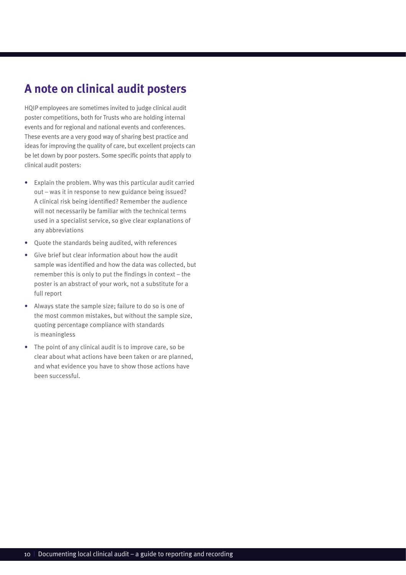#### **A note on clinical audit posters**

HQIP employees are sometimes invited to judge clinical audit poster competitions, both for Trusts who are holding internal events and for regional and national events and conferences. These events are a very good way of sharing best practice and ideas for improving the quality of care, but excellent projects can be let down by poor posters. Some specific points that apply to clinical audit posters:

- Explain the problem. Why was this particular audit carried out – was it in response to new guidance being issued? A clinical risk being identified? Remember the audience will not necessarily be familiar with the technical terms used in a specialist service, so give clear explanations of any abbreviations
- Quote the standards being audited, with references
- Give brief but clear information about how the audit sample was identified and how the data was collected, but remember this is only to put the findings in context – the poster is an abstract of your work, not a substitute for a full report
- Always state the sample size; failure to do so is one of the most common mistakes, but without the sample size, quoting percentage compliance with standards is meaningless
- The point of any clinical audit is to improve care, so be clear about what actions have been taken or are planned, and what evidence you have to show those actions have been successful.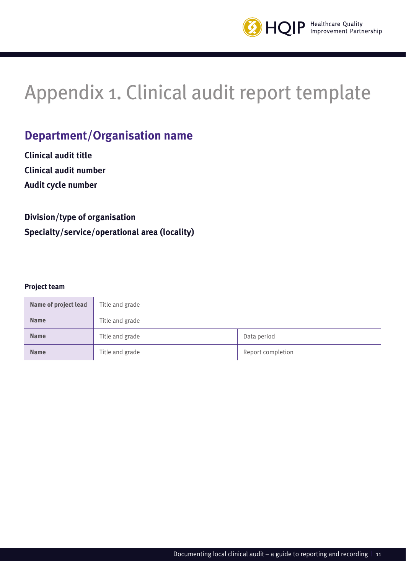

# <span id="page-10-0"></span>Appendix 1. Clinical audit report template

#### **Department/Organisation name**

**Clinical audit title Clinical audit number Audit cycle number** 

#### **Division/type of organisation Specialty/service/operational area (locality)**

#### **Project team**

| Name of project lead | Title and grade |                   |
|----------------------|-----------------|-------------------|
| <b>Name</b>          | Title and grade |                   |
| <b>Name</b>          | Title and grade | Data period       |
| <b>Name</b>          | Title and grade | Report completion |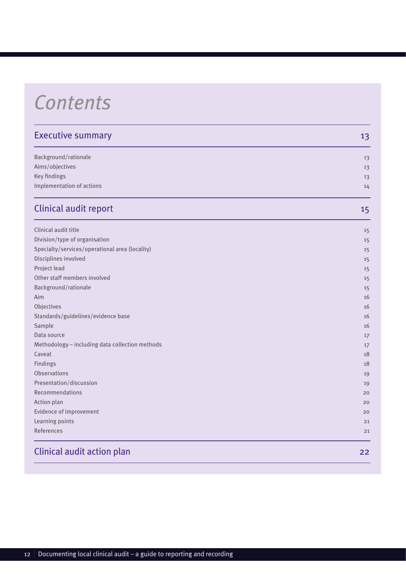# *Contents*

| <b>Executive summary</b>                        | 13 |
|-------------------------------------------------|----|
| Background/rationale                            | 13 |
| Aims/objectives                                 | 13 |
| Key findings                                    | 13 |
| Implementation of actions                       | 14 |
| <b>Clinical audit report</b>                    | 15 |
| Clinical audit title                            | 15 |
| Division/type of organisation                   | 15 |
| Specialty/services/operational area (locality)  | 15 |
| Disciplines involved                            | 15 |
| Project lead                                    | 15 |
| Other staff members involved                    | 15 |
| Background/rationale                            | 15 |
| Aim                                             | 16 |
| Objectives                                      | 16 |
| Standards/guidelines/evidence base              | 16 |
| Sample                                          | 16 |
| Data source                                     | 17 |
| Methodology - including data collection methods | 17 |
| Caveat                                          | 18 |
| Findings                                        | 18 |
| <b>Observations</b>                             | 19 |
| Presentation/discussion                         | 19 |
| Recommendations                                 | 20 |
| Action plan                                     | 20 |
| Evidence of improvement                         | 20 |
| Learning points                                 | 21 |
| References                                      | 21 |
| <b>Clinical audit action plan</b>               | 22 |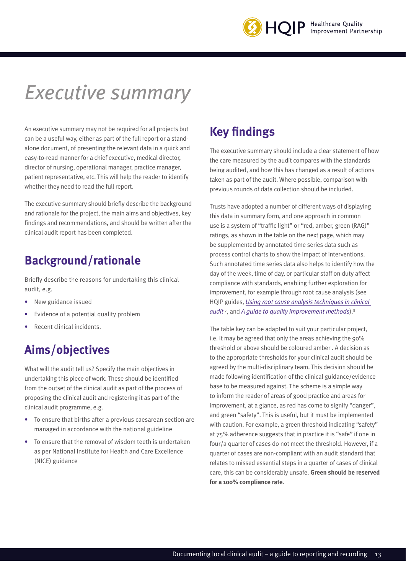

# *Executive summary*

An executive summary may not be required for all projects but can be a useful way, either as part of the full report or a standalone document, of presenting the relevant data in a quick and easy-to-read manner for a chief executive, medical director, director of nursing, operational manager, practice manager, patient representative, etc. This will help the reader to identify whether they need to read the full report.

The executive summary should briefly describe the background and rationale for the project, the main aims and objectives, key findings and recommendations, and should be written after the clinical audit report has been completed.

#### **Background/rationale**

Briefly describe the reasons for undertaking this clinical audit, e.g.

- New guidance issued
- Evidence of a potential quality problem
- Recent clinical incidents.

#### **Aims/objectives**

What will the audit tell us? Specify the main objectives in undertaking this piece of work. These should be identified from the outset of the clinical audit as part of the process of proposing the clinical audit and registering it as part of the clinical audit programme, e.g.

- To ensure that births after a previous caesarean section are managed in accordance with the national guideline
- To ensure that the removal of wisdom teeth is undertaken as per National Institute for Health and Care Excellence (NICE) guidance

#### **Key findings**

The executive summary should include a clear statement of how the care measured by the audit compares with the standards being audited, and how this has changed as a result of actions taken as part of the audit. Where possible, comparison with previous rounds of data collection should be included.

Trusts have adopted a number of different ways of displaying this data in summary form, and one approach in common use is a system of "traffic light" or "red, amber, green (RAG)" ratings, as shown in the table on the next page, which may be supplemented by annotated time series data such as process control charts to show the impact of interventions. Such annotated time series data also helps to identify how the day of the week, time of day, or particular staff on duty affect compliance with standards, enabling further exploration for improvement, for example through root cause analysis (see HQIP guides, *[Using root cause analysis techniques in clinical](https://www.hqip.org.uk/resource/using-root-cause-analysis-techniques-in-clinical-audit/#.XphLllNKi8h)  [audit](https://www.hqip.org.uk/resource/using-root-cause-analysis-techniques-in-clinical-audit/#.XphLllNKi8h)* <sup>7</sup> , and *[A guide to quality improvement methods](https://www.hqip.org.uk/resource/guide-to-quality-improvement-methods/#.XphLu1NKi8h)*).8

The table key can be adapted to suit your particular project, i.e. it may be agreed that only the areas achieving the 90% threshold or above should be coloured amber . A decision as to the appropriate thresholds for your clinical audit should be agreed by the multi-disciplinary team. This decision should be made following identification of the clinical guidance/evidence base to be measured against. The scheme is a simple way to inform the reader of areas of good practice and areas for improvement, at a glance, as red has come to signify "danger", and green "safety". This is useful, but it must be implemented with caution. For example, a green threshold indicating "safety" at 75% adherence suggests that in practice it is "safe" if one in four/a quarter of cases do not meet the threshold. However, if a quarter of cases are non-compliant with an audit standard that relates to missed essential steps in a quarter of cases of clinical care, this can be considerably unsafe. **Green should be reserved for a 100% compliance rate**.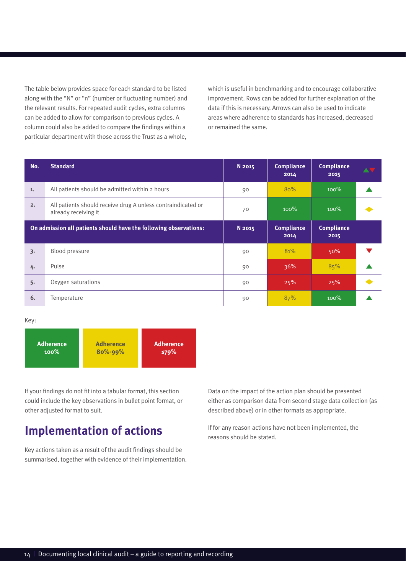The table below provides space for each standard to be listed along with the "N" or "n" (number or fluctuating number) and the relevant results. For repeated audit cycles, extra columns can be added to allow for comparison to previous cycles. A column could also be added to compare the findings within a particular department with those across the Trust as a whole,

which is useful in benchmarking and to encourage collaborative improvement. Rows can be added for further explanation of the data if this is necessary. Arrows can also be used to indicate areas where adherence to standards has increased, decreased or remained the same.

| No. | <b>Standard</b>                                                                      | N 2015 | <b>Compliance</b><br>2014 | <b>Compliance</b><br>2015 | AV |
|-----|--------------------------------------------------------------------------------------|--------|---------------------------|---------------------------|----|
| 1.  | All patients should be admitted within 2 hours                                       | 90     | 80%                       | $100\%$                   |    |
| 2.  | All patients should receive drug A unless contraindicated or<br>already receiving it | 70     | 100%                      | $100\%$                   |    |
|     | On admission all patients should have the following observations:                    | N 2015 | Compliance<br>2014        | Compliance<br>2015        |    |
| 3.  | Blood pressure                                                                       | 90     | 81%                       | 50%                       |    |
| 4.  | Pulse                                                                                | 90     | 36%                       | 85%                       |    |
| 5.  | Oxygen saturations                                                                   | 90     | 25%                       | 25%                       |    |
| 6.  | Temperature                                                                          | 90     | 87%                       | $100\%$                   |    |

Key:



If your findings do not fit into a tabular format, this section could include the key observations in bullet point format, or other adjusted format to suit.

#### **Implementation of actions**

Key actions taken as a result of the audit findings should be summarised, together with evidence of their implementation. Data on the impact of the action plan should be presented either as comparison data from second stage data collection (as described above) or in other formats as appropriate.

If for any reason actions have not been implemented, the reasons should be stated.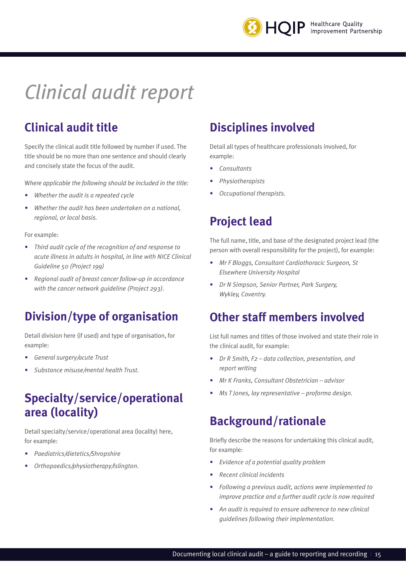

# *Clinical audit report*

## **Clinical audit title**

Specify the clinical audit title followed by number if used. The title should be no more than one sentence and should clearly and concisely state the focus of the audit.

W*here applicable the following should be included in the title:*

- *• Whether the audit is a repeated cycle*
- *• Whether the audit has been undertaken on a national, regional, or local basis.*

For example:

- *• Third audit cycle of the recognition of and response to acute illness in adults in hospital, in line with NICE Clinical Guideline 50 (Project 199)*
- *• Regional audit of breast cancer follow-up in accordance with the cancer network guideline (Project 293).*

#### **Division/type of organisation**

Detail division here (if used) and type of organisation, for example:

- *• General surgery/acute Trust*
- *• Substance misuse/mental health Trust.*

#### **Specialty/service/operational area (locality)**

Detail specialty/service/operational area (locality) here, for example:

- *• Paediatrics/dietetics/Shropshire*
- *• Orthopaedics/physiotherapy/Islington.*

#### **Disciplines involved**

Detail all types of healthcare professionals involved, for example:

- *• Consultants*
- *• Physiotherapists*
- *• Occupational therapists.*

#### **Project lead**

The full name, title, and base of the designated project lead (the person with overall responsibility for the project), for example:

- *• Mr F Bloggs, Consultant Cardiothoracic Surgeon, St Elsewhere University Hospital*
- *• Dr N Simpson, Senior Partner, Park Surgery, Wykley, Coventry.*

#### **Other staff members involved**

List full names and titles of those involved and state their role in the clinical audit, for example:

- *• Dr R Smith, F2 data collection, presentation, and report writing*
- *• Mr K Franks, Consultant Obstetrician advisor*
- *• Ms T Jones, lay representative proforma design.*

#### **Background/rationale**

Briefly describe the reasons for undertaking this clinical audit, for example:

- *• Evidence of a potential quality problem*
- *• Recent clinical incidents*
- *• Following a previous audit, actions were implemented to improve practice and a further audit cycle is now required*
- *• An audit is required to ensure adherence to new clinical guidelines following their implementation.*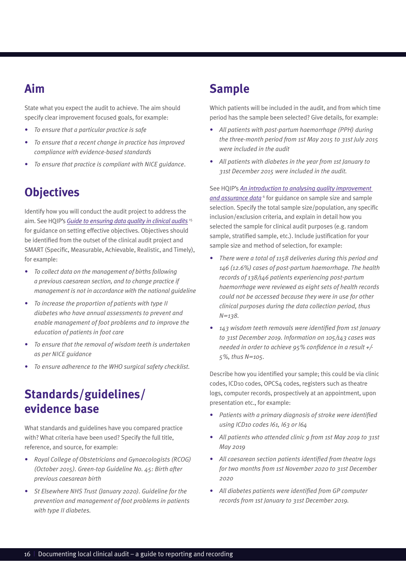### **Aim**

State what you expect the audit to achieve. The aim should specify clear improvement focused goals, for example:

- *• To ensure that a particular practice is safe*
- *• To ensure that a recent change in practice has improved compliance with evidence-based standards*
- *• To ensure that practice is compliant with NICE guidance*.

## **Objectives**

Identify how you will conduct the audit project to address the aim. See HQIP's *[Guide to ensuring data quality in clinical audits](https://www.hqip.org.uk/resource/hqip-guide-to-ensuring-data-quality-in-clinical-audits/#.XphNG1NKi8g)* <sup>15</sup> for guidance on setting effective objectives. Objectives should be identified from the outset of the clinical audit project and SMART (Specific, Measurable, Achievable, Realistic, and Timely), for example:

- *• To collect data on the management of births following a previous caesarean section, and to change practice if management is not in accordance with the national guideline*
- *• To increase the proportion of patients with type II diabetes who have annual assessments to prevent and enable management of foot problems and to improve the education of patients in foot care*
- *• To ensure that the removal of wisdom teeth is undertaken as per NICE guidance*
- *• To ensure adherence to the WHO surgical safety checklist.*

### **Standards/guidelines/ evidence base**

What standards and guidelines have you compared practice with? What criteria have been used? Specify the full title, reference, and source, for example:

- *• Royal College of Obstetricians and Gynaecologists (RCOG) (October 2015). Green-top Guideline No. 45: Birth after previous caesarean birth*
- *• St Elsewhere NHS Trust (January 2020). Guideline for the prevention and management of foot problems in patients with type II diabetes.*

#### **Sample**

Which patients will be included in the audit, and from which time period has the sample been selected? Give details, for example:

- *• All patients with post-partum haemorrhage (PPH) during the three-month period from 1st May 2015 to 31st July 2015 were included in the audit*
- *• All patients with diabetes in the year from 1st January to 31st December 2015 were included in the audit.*

See HQIP's *[An introduction to analysing quality improvement](https://www.hqip.org.uk/wp-content/uploads/2018/10/final-an-introduction-to-data-analysis-october-2018.pdf)*  [and assurance data](https://www.hqip.org.uk/wp-content/uploads/2018/10/final-an-introduction-to-data-analysis-october-2018.pdf)<sup>6</sup> for guidance on sample size and sample selection. Specify the total sample size/population, any specific inclusion/exclusion criteria, and explain in detail how you selected the sample for clinical audit purposes (e.g. random sample, stratified sample, etc.). Include justification for your sample size and method of selection, for example:

- *• There were a total of 1158 deliveries during this period and 146 (12.6%) cases of post-partum haemorrhage. The health records of 138/146 patients experiencing post-partum haemorrhage were reviewed as eight sets of health records could not be accessed because they were in use for other clinical purposes during the data collection period, thus N=138.*
- *• 143 wisdom teeth removals were identified from 1st January to 31st December 2019. Information on 105/143 cases was needed in order to achieve 95% confidence in a result +/- 5%, thus N=105.*

Describe how you identified your sample; this could be via clinic codes, ICD10 codes, OPCS4 codes, registers such as theatre logs, computer records, prospectively at an appointment, upon presentation etc., for example:

- *• Patients with a primary diagnosis of stroke were identified using ICD10 codes I61, I63 or I64*
- *• All patients who attended clinic 9 from 1st May 2019 to 31st May 2019*
- *• All caesarean section patients identified from theatre logs for two months from 1st November 2020 to 31st December 2020*
- *• All diabetes patients were identified from GP computer records from 1st January to 31st December 2019.*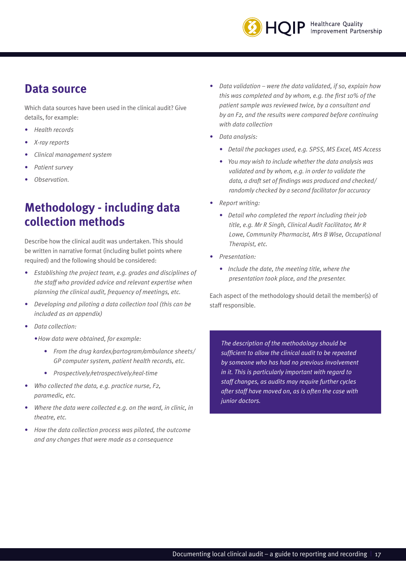

#### **Data source**

Which data sources have been used in the clinical audit? Give details, for example:

- *• Health records*
- *• X-ray reports*
- *• Clinical management system*
- *• Patient survey*
- *• Observation.*

#### **Methodology - including data collection methods**

Describe how the clinical audit was undertaken. This should be written in narrative format (including bullet points where required) and the following should be considered:

- *• Establishing the project team, e.g. grades and disciplines of the staff who provided advice and relevant expertise when planning the clinical audit, frequency of meetings, etc.*
- *• Developing and piloting a data collection tool (this can be included as an appendix)*
- *• Data collection:*
	- *•How data were obtained, for example:*
		- *• From the drug kardex/partogram/ambulance sheets/ GP computer system, patient health records, etc.*
		- *• Prospectively/retrospectively/real-time*
- *• Who collected the data, e.g. practice nurse, F2, paramedic, etc.*
- *• Where the data were collected e.g. on the ward, in clinic, in theatre, etc.*
- *• How the data collection process was piloted, the outcome and any changes that were made as a consequence*
- *• Data validation were the data validated, if so, explain how this was completed and by whom, e.g. the first 10% of the patient sample was reviewed twice, by a consultant and by an F2, and the results were compared before continuing with data collection*
- *• Data analysis:*
	- *• Detail the packages used, e.g. SPSS, MS Excel, MS Access*
	- *• You may wish to include whether the data analysis was validated and by whom, e.g. in order to validate the data, a draft set of findings was produced and checked/ randomly checked by a second facilitator for accuracy*
- *• Report writing:*
	- *• Detail who completed the report including their job title, e.g. Mr R Singh, Clinical Audit Facilitator, Mr R Lowe, Community Pharmacist, Mrs B Wise, Occupational Therapist, etc.*
- *• Presentation:*
	- *• Include the date, the meeting title, where the presentation took place, and the presenter.*

Each aspect of the methodology should detail the member(s) of staff responsible.

*The description of the methodology should be sufficient to allow the clinical audit to be repeated by someone who has had no previous involvement in it. This is particularly important with regard to staff changes, as audits may require further cycles after staff have moved on, as is often the case with junior doctors.*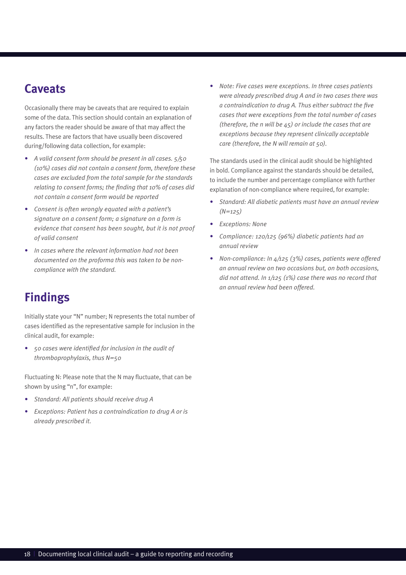#### **Caveats**

Occasionally there may be caveats that are required to explain some of the data. This section should contain an explanation of any factors the reader should be aware of that may affect the results. These are factors that have usually been discovered during/following data collection, for example:

- *• A valid consent form should be present in all cases. 5/50 (10%) cases did not contain a consent form, therefore these cases are excluded from the total sample for the standards relating to consent forms; the finding that 10% of cases did not contain a consent form would be reported*
- *• Consent is often wrongly equated with a patient's signature on a consent form; a signature on a form is evidence that consent has been sought, but it is not proof of valid consent*
- *• In cases where the relevant information had not been documented on the proforma this was taken to be noncompliance with the standard.*

## **Findings**

Initially state your "N" number; N represents the total number of cases identified as the representative sample for inclusion in the clinical audit, for example:

*• 50 cases were identified for inclusion in the audit of thromboprophylaxis, thus N=50*

Fluctuating N: Please note that the N may fluctuate, that can be shown by using "n", for example:

- *• Standard: All patients should receive drug A*
- *• Exceptions: Patient has a contraindication to drug A or is already prescribed it.*

*• Note: Five cases were exceptions. In three cases patients were already prescribed drug A and in two cases there was a contraindication to drug A. Thus either subtract the five cases that were exceptions from the total number of cases (therefore, the n will be 45) or include the cases that are exceptions because they represent clinically acceptable care (therefore, the N will remain at 50).*

The standards used in the clinical audit should be highlighted in bold. Compliance against the standards should be detailed, to include the number and percentage compliance with further explanation of non-compliance where required, for example:

- *• Standard: All diabetic patients must have an annual review (N=125)*
- *• Exceptions: None*
- *• Compliance: 120/125 (96%) diabetic patients had an annual review*
- *• Non-compliance: In 4/125 (3%) cases, patients were offered an annual review on two occasions but, on both occasions, did not attend. In 1/125 (1%) case there was no record that an annual review had been offered.*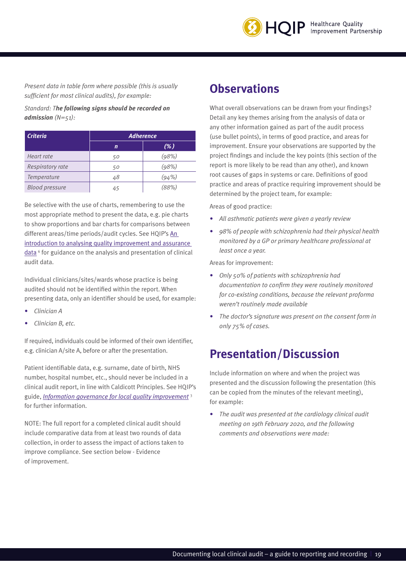

*Present data in table form where possible (this is usually sufficient for most clinical audits), for example:*

*Standard: The following signs should be recorded on admission (N=51):*

| <b>Criteria</b>       |    | <b>Adherence</b> |
|-----------------------|----|------------------|
|                       | n  | (%)              |
| Heart rate            | 50 | (98%)            |
| Respiratory rate      | 50 | (98%)            |
| Temperature           | 48 | (94%)            |
| <b>Blood pressure</b> | 45 | (88%)            |

Be selective with the use of charts, remembering to use the most appropriate method to present the data, e.g. pie charts to show proportions and bar charts for comparisons between different areas/time periods/audit cycles. See HQIP's [An](https://www.hqip.org.uk/wp-content/uploads/2018/10/final-an-introduction-to-data-analysis-october-2018.pdf)  [introduction to analysing quality improvement and assurance](https://www.hqip.org.uk/wp-content/uploads/2018/10/final-an-introduction-to-data-analysis-october-2018.pdf)  [data](https://www.hqip.org.uk/wp-content/uploads/2018/10/final-an-introduction-to-data-analysis-october-2018.pdf)<sup>6</sup> for guidance on the analysis and presentation of clinical audit data.

Individual clinicians/sites/wards whose practice is being audited should not be identified within the report. When presenting data, only an identifier should be used, for example:

- *• Clinician A*
- *• Clinician B, etc.*

If required, individuals could be informed of their own identifier, e.g. clinician A/site A, before or after the presentation.

Patient identifiable data, e.g. surname, date of birth, NHS number, hospital number, etc., should never be included in a clinical audit report, in line with Caldicott Principles. See HQIP's guide, *[Information governance for local quality improvement](https://www.hqip.org.uk/resource/information-governance-in-local-quality-improvement/#.XphOMlNKi8g)* <sup>3</sup> for further information.

NOTE: The full report for a completed clinical audit should include comparative data from at least two rounds of data collection, in order to assess the impact of actions taken to improve compliance. See section below - Evidence of improvement.

#### **Observations**

What overall observations can be drawn from your findings? Detail any key themes arising from the analysis of data or any other information gained as part of the audit process (use bullet points), in terms of good practice, and areas for improvement. Ensure your observations are supported by the project findings and include the key points (this section of the report is more likely to be read than any other), and known root causes of gaps in systems or care. Definitions of good practice and areas of practice requiring improvement should be determined by the project team, for example:

Areas of good practice:

- *• All asthmatic patients were given a yearly review*
- *• 98% of people with schizophrenia had their physical health monitored by a GP or primary healthcare professional at least once a year.*

Areas for improvement:

- *• Only 50% of patients with schizophrenia had documentation to confirm they were routinely monitored for co-existing conditions, because the relevant proforma weren't routinely made available*
- *• The doctor's signature was present on the consent form in only 75% of cases.*

#### **Presentation/Discussion**

Include information on where and when the project was presented and the discussion following the presentation (this can be copied from the minutes of the relevant meeting), for example:

*• The audit was presented at the cardiology clinical audit meeting on 19th February 2020, and the following comments and observations were made:*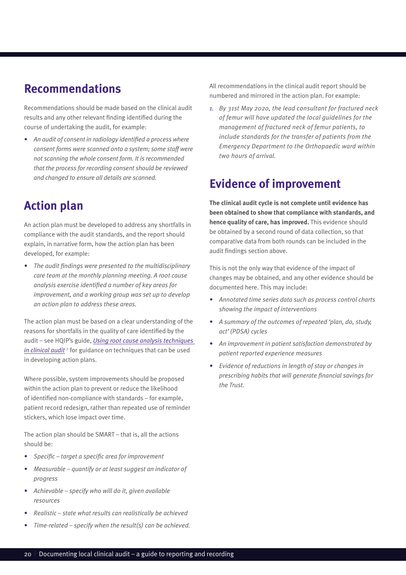#### **Recommendations**

Recommendations should be made based on the clinical audit results and any other relevant finding identified during the course of undertaking the audit, for example:

*• An audit of consent in radiology identified a process where consent forms were scanned onto a system; some staff were not scanning the whole consent form. It is recommended that the process for recording consent should be reviewed and changed to ensure all details are scanned.*

### **Action plan**

An action plan must be developed to address any shortfalls in compliance with the audit standards, and the report should explain, in narrative form, how the action plan has been developed, for example:

*• The audit findings were presented to the multidisciplinary care team at the monthly planning meeting. A root cause analysis exercise identified a number of key areas for improvement, and a working group was set up to develop an action plan to address these areas.*

The action plan must be based on a clear understanding of the reasons for shortfalls in the quality of care identified by the audit – see HQIP's guide, *[Using root cause analysis techniques](https://www.hqip.org.uk/resource/using-root-cause-analysis-techniques-in-clinical-audit/#.XphOZFNKi8h)*  [in clinical audit](https://www.hqip.org.uk/resource/using-root-cause-analysis-techniques-in-clinical-audit/#.XphOZFNKi8h)<sup>7</sup> for guidance on techniques that can be used in developing action plans.

Where possible, system improvements should be proposed within the action plan to prevent or reduce the likelihood of identified non-compliance with standards – for example, patient record redesign, rather than repeated use of reminder stickers, which lose impact over time.

The action plan should be SMART – that is, all the actions should be:

- *• Specific target a specific area for improvement*
- *• Measurable quantify or at least suggest an indicator of progress*
- *• Achievable specify who will do it, given available resources*
- *• Realistic state what results can realistically be achieved*
- *• Time-related specify when the result(s) can be achieved.*

All recommendations in the clinical audit report should be numbered and mirrored in the action plan. For example:

*1. By 31st May 2020, the lead consultant for fractured neck of femur will have updated the local guidelines for the management of fractured neck of femur patients, to include standards for the transfer of patients from the Emergency Department to the Orthopaedic ward within two hours of arrival.*

#### **Evidence of improvement**

**The clinical audit cycle is not complete until evidence has been obtained to show that compliance with standards, and hence quality of care, has improved.** This evidence should be obtained by a second round of data collection, so that comparative data from both rounds can be included in the audit findings section above.

This is not the only way that evidence of the impact of changes may be obtained, and any other evidence should be documented here. This may include:

- *• Annotated time series data such as process control charts showing the impact of interventions*
- *• A summary of the outcomes of repeated 'plan, do, study, act' (PDSA) cycles*
- *• An improvement in patient satisfaction demonstrated by patient reported experience measures*
- *• Evidence of reductions in length of stay or changes in prescribing habits that will generate financial savings for the Trust.*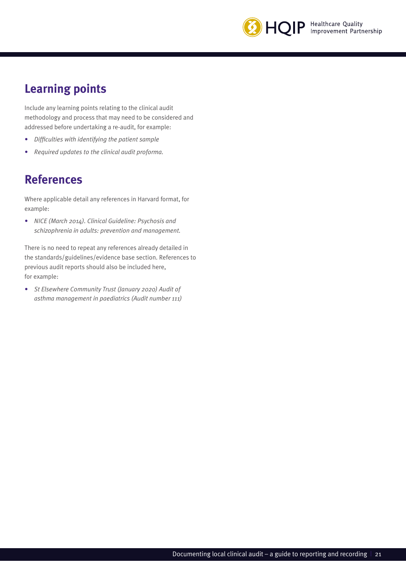

## **Learning points**

Include any learning points relating to the clinical audit methodology and process that may need to be considered and addressed before undertaking a re-audit, for example:

- *• Difficulties with identifying the patient sample*
- *• Required updates to the clinical audit proforma.*

### **References**

Where applicable detail any references in Harvard format, for example:

*• NICE (March 2014). Clinical Guideline: Psychosis and schizophrenia in adults: prevention and management.*

There is no need to repeat any references already detailed in the standards/guidelines/evidence base section. References to previous audit reports should also be included here, for example:

*• St Elsewhere Community Trust (January 2020) Audit of asthma management in paediatrics (Audit number 111)*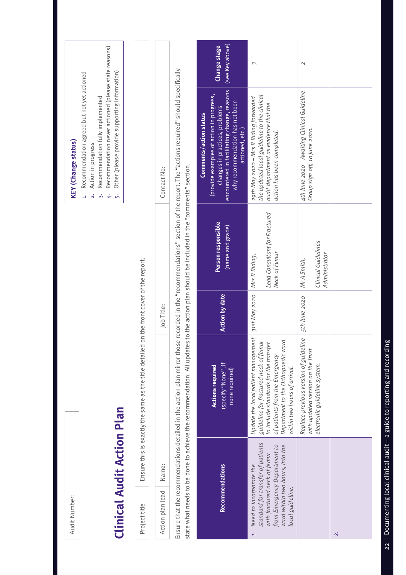| Audit Number:                                                                                                                                                                             |                                                                                                                                                                                                                               |                                   |                                                                 | <b>KEY</b> (Change status)                                                                                                                                                                                                                                                      |                                        |
|-------------------------------------------------------------------------------------------------------------------------------------------------------------------------------------------|-------------------------------------------------------------------------------------------------------------------------------------------------------------------------------------------------------------------------------|-----------------------------------|-----------------------------------------------------------------|---------------------------------------------------------------------------------------------------------------------------------------------------------------------------------------------------------------------------------------------------------------------------------|----------------------------------------|
| <b>Clinical Audit Action Plan</b>                                                                                                                                                         |                                                                                                                                                                                                                               |                                   |                                                                 | Recommendation never actioned (please state reasons)<br>Other (please provide supporting information)<br>Recommendation agreed but not yet actioned<br>Recommendation fully implemented<br>Action in progress<br>$\overline{\mathbf{a}}$<br>$\dot{5}$<br>$\dot{+}$<br>$\dot{5}$ |                                        |
| Project title                                                                                                                                                                             | Ensure this is exactly the same as the title detailed                                                                                                                                                                         | on the front cover of the report. |                                                                 |                                                                                                                                                                                                                                                                                 |                                        |
| Name:<br>Action plan lead                                                                                                                                                                 |                                                                                                                                                                                                                               | Job Title:                        |                                                                 | Contact No:                                                                                                                                                                                                                                                                     |                                        |
|                                                                                                                                                                                           | state what needs to be done to achieve the recommendation. All updates to the action plan should be included in the "comments" section.<br>Ensure that the recommendations detailed in the action plan mirror thos            |                                   |                                                                 | e recorded in the "recommendations" section of the report. The "actions required" should specifically                                                                                                                                                                           |                                        |
| <b>Recommendations</b>                                                                                                                                                                    | (specify "None", if<br><b>Actions required</b><br>none required)                                                                                                                                                              | <b>Action by date</b>             | Person responsible<br>(name and grade)                          | encountered in facilitating change, reasons<br>(provide examples of action in progress,<br>why recommendation has not been<br>changes in practices, problems<br>Comments/action status<br>actioned, etc.)                                                                       | (see Key above)<br><b>Change stage</b> |
| standard for transfer of patients<br>ward within two hours, into the<br>from Emergency Department to<br>with fractured neck of femur<br>Need to incorporate the<br>local guideline.<br>1. | Update the local patient management<br>Department to the Orthopaedic ward<br>guideline for fractured neck of femur<br>to include standards for the transfer<br>of patients from the Emergency<br>within two hours of arrival. | 31st May 2020                     | Lead Consultant for Fractured<br>Neck of Femur<br>Mrs R Riding, | the updated local guideline to the clinical<br>29th May 2020 - Mrs R Riding forwarded<br>audit department as evidence that the<br>action has been completed.                                                                                                                    | $\sim$                                 |
|                                                                                                                                                                                           | Replace previous version of guideline<br>with updated version on the Trust<br>electronic guideline system.                                                                                                                    | 5th June 2020                     | Clinical Guidelines<br>Administrator<br>Mr A Smith,             | 4th June 2020 - Awaiting Clinical Guideline<br>Group sign off, 10 June 2020.                                                                                                                                                                                                    | $\mathcal{L}$                          |
| $\ddot{\sim}$                                                                                                                                                                             |                                                                                                                                                                                                                               |                                   |                                                                 |                                                                                                                                                                                                                                                                                 |                                        |

# 22 | Documenting local clinical audit - a guide to reporting and recording 22  $\parallel$  Documenting local clinical audit – a guide to reporting and recording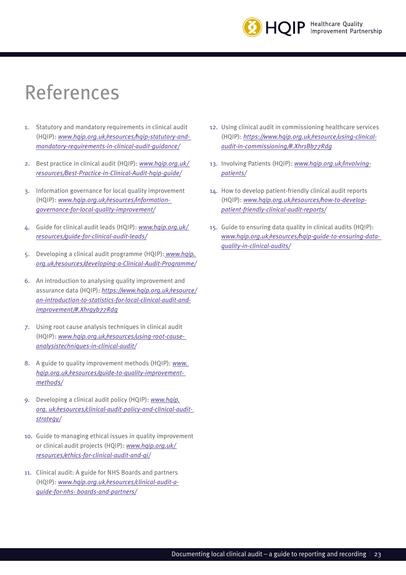

# References

- 1. Statutory and mandatory requirements in clinical audit (HQIP): *[www.hqip.org.uk/resources/hqip-statutory-and](https://www.hqip.org.uk/resource/hqip-statutory-and-mandatory-requirements-in-clinical-audit-guidance/#.XosbPlNKgW8)[mandatory-requirements-in-clinical-audit-guidance/](https://www.hqip.org.uk/resource/hqip-statutory-and-mandatory-requirements-in-clinical-audit-guidance/#.XosbPlNKgW8)*
- 2. Best practice in clinical audit (HQIP): *[www.hqip.org.uk/](https://www.hqip.org.uk/resource/best-practice-in-clinical-audit/#.XphQeFNKi8h)  [resources/Best-Practice-in-Clinical-Audit-hqip-guide/](https://www.hqip.org.uk/resource/best-practice-in-clinical-audit/#.XphQeFNKi8h)*
- 3. Information governance for local quality improvement (HQIP): *[www.hqip.org.uk/resources/information](https://www.hqip.org.uk/resource/information-governance-in-local-quality-improvement/#.XosbalNKgW8)[governance-for-local-quality-improvement/](https://www.hqip.org.uk/resource/information-governance-in-local-quality-improvement/#.XosbalNKgW8)*
- 4. Guide for clinical audit leads (HQIP): *[www.hqip.org.uk/](https://www.hqip.org.uk/resource/guide-for-clinical-audit-leads/#.XphQn1NKi8h)  [resources/guide-for-clinical-audit-leads/](https://www.hqip.org.uk/resource/guide-for-clinical-audit-leads/#.XphQn1NKi8h)*
- 5. Developing a clinical audit programme (HQIP): *[www.hqip.](https://www.hqip.org.uk/resource/developing-a-clinical-audit-programme/#.XosbkVNKgW8)  [org.uk/resources/developing-a-Clinical-Audit-Programme/](https://www.hqip.org.uk/resource/developing-a-clinical-audit-programme/#.XosbkVNKgW8)*
- 6. An introduction to analysing quality improvement and assurance data (HQIP): *[https://www.hqip.org.uk/resource/](https://www.hqip.org.uk/wp-content/uploads/2018/10/final-an-introduction-to-data-analysis-october-2018.pdf) [an-introduction-to-statistics-for-local-clinical-audit-and](https://www.hqip.org.uk/wp-content/uploads/2018/10/final-an-introduction-to-data-analysis-october-2018.pdf)[improvement/#.Xhrgyb77Rdg](https://www.hqip.org.uk/wp-content/uploads/2018/10/final-an-introduction-to-data-analysis-october-2018.pdf)*
- 7. Using root cause analysis techniques in clinical audit (HQIP): *[www.hqip.org.uk/resources/using-root-cause](https://www.hqip.org.uk/resource/using-root-cause-analysis-techniques-in-clinical-audit/#.XphQ_VNKi8h)[analysistechniques-in-clinical-audit/](https://www.hqip.org.uk/resource/using-root-cause-analysis-techniques-in-clinical-audit/#.XphQ_VNKi8h)*
- 8. A guide to quality improvement methods (HQIP): *[www.](https://www.hqip.org.uk/resource/guide-to-quality-improvement-methods/#.XphRHFNKi8h)  [hqip.org.uk/resources/guide-to-quality-improvement](https://www.hqip.org.uk/resource/guide-to-quality-improvement-methods/#.XphRHFNKi8h)[methods/](https://www.hqip.org.uk/resource/guide-to-quality-improvement-methods/#.XphRHFNKi8h)*
- 9. Developing a clinical audit policy (HQIP): *[www.hqip.](https://www.hqip.org.uk/resource/developing-clinical-audit-policy-strategy/#.XphRRlNKi8g) [org. uk/resources/clinical-audit-policy-and-clinical-audit](https://www.hqip.org.uk/resource/developing-clinical-audit-policy-strategy/#.XphRRlNKi8g)[strategy/](https://www.hqip.org.uk/resource/developing-clinical-audit-policy-strategy/#.XphRRlNKi8g)*
- 10. Guide to managing ethical issues in quality improvement or clinical audit projects (HQIP): *[www.hqip.org.uk/](https://www.hqip.org.uk/resource/guide-to-managing-ethical-issues-in-quality-improvement-or-clinical-audit-projects/#.XphRalNKi8g)  [resources/ethics-for-clinical-audit-and-qi/](https://www.hqip.org.uk/resource/guide-to-managing-ethical-issues-in-quality-improvement-or-clinical-audit-projects/#.XphRalNKi8g)*
- 11. Clinical audit: A guide for NHS Boards and partners (HQIP): *[www.hqip.org.uk/resources/clinical-audit-a](https://www.hqip.org.uk/resource/clinical-audit-a-guide-for-nhs-boards-and-partners/#.XphVhlNKi8g)[guide-for-nhs- boards-and-partners/](https://www.hqip.org.uk/resource/clinical-audit-a-guide-for-nhs-boards-and-partners/#.XphVhlNKi8g)*
- 12. Using clinical audit in commissioning healthcare services (HQIP): *[https://www.hqip.org.uk/resource/using-clinical](https://www.hqip.org.uk/resource/using-clinical-audit-in-commissioning/#.XoscWlNKgW9)[audit-in-commissioning/#.Xhr1Bb77Rdg](https://www.hqip.org.uk/resource/using-clinical-audit-in-commissioning/#.XoscWlNKgW9)*
- 13. Involving Patients (HQIP): *[www.hqip.org.uk/involving](https://www.hqip.org.uk/involving-patients/#.Xoscc1NKgW8)[patients/](https://www.hqip.org.uk/involving-patients/#.Xoscc1NKgW8)*
- 14. How to develop patient-friendly clinical audit reports (HQIP): *[www.hqip.org.uk/resources/how-to-develop](https://www.hqip.org.uk/resource/how-to-develop-patient-friendly-clinical-audit-reports/#.Xosck1NKgW8)[patient-friendly-clinical-audit-reports/](https://www.hqip.org.uk/resource/how-to-develop-patient-friendly-clinical-audit-reports/#.Xosck1NKgW8)*
- 15. Guide to ensuring data quality in clinical audits (HQIP): *[www.hqip.org.uk/resources/hqip-guide-to-ensuring-data](https://www.hqip.org.uk/resource/hqip-guide-to-ensuring-data-quality-in-clinical-audits/#.XosczVNKgW8)[quality-in-clinical-audits/](https://www.hqip.org.uk/resource/hqip-guide-to-ensuring-data-quality-in-clinical-audits/#.XosczVNKgW8)*